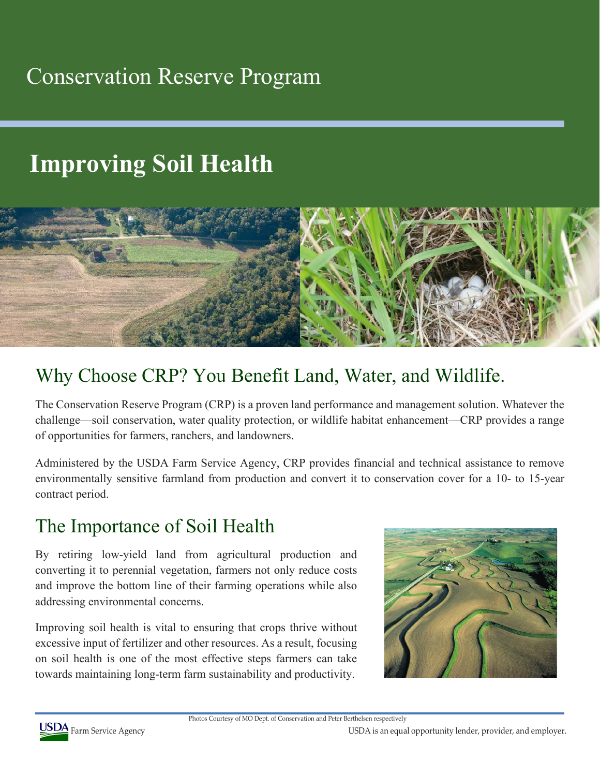## Conservation Reserve Program

# **Improving Soil Health**



### Why Choose CRP? You Benefit Land, Water, and Wildlife.

The Conservation Reserve Program (CRP) is a proven land performance and management solution. Whatever the challenge—soil conservation, water quality protection, or wildlife habitat enhancement—CRP provides a range of opportunities for farmers, ranchers, and landowners.

Administered by the USDA Farm Service Agency, CRP provides financial and technical assistance to remove environmentally sensitive farmland from production and convert it to conservation cover for a 10- to 15-year contract period.

#### The Importance of Soil Health

By retiring low-yield land from agricultural production and converting it to perennial vegetation, farmers not only reduce costs and improve the bottom line of their farming operations while also addressing environmental concerns.

Improving soil health is vital to ensuring that crops thrive without excessive input of fertilizer and other resources. As a result, focusing on soil health is one of the most effective steps farmers can take towards maintaining long-term farm sustainability and productivity.





USDA Farm Service Agency **USDA** Farm Service Agency **COST**